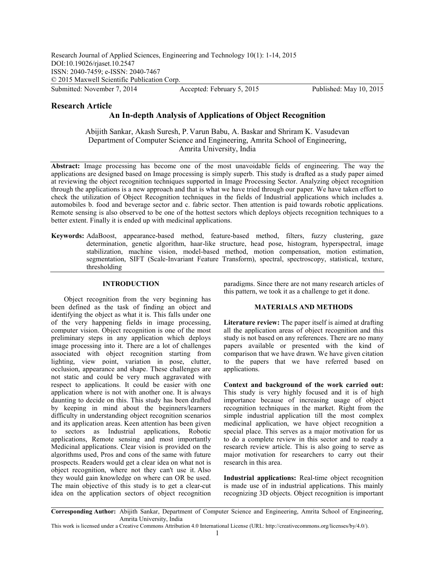Research Journal of Applied Sciences, Engineering and Technology 10(1): 1-14, 2015 DOI:10.19026/rjaset.10.2547 ISSN: 2040-7459; e-ISSN: 2040-7467 © 2015 Maxwell Scientific Publication Corp. Submitted: November 7, 2014 Accepted: February 5, 2015 Published: May 10, 2015

# **Research Article**

# **An In-depth Analysis of Applications of Object Recognition**

Abijith Sankar, Akash Suresh, P. Varun Babu, A. Baskar and Shriram K. Vasudevan Department of Computer Science and Engineering, Amrita School of Engineering, Amrita University, India

**Abstract:** Image processing has become one of the most unavoidable fields of engineering. The way the applications are designed based on Image processing is simply superb. This study is drafted as a study paper aimed at reviewing the object recognition techniques supported in Image Processing Sector. Analyzing object recognition through the applications is a new approach and that is what we have tried through our paper. We have taken effort to check the utilization of Object Recognition techniques in the fields of Industrial applications which includes a. automobiles b. food and beverage sector and c. fabric sector. Then attention is paid towards robotic applications. Remote sensing is also observed to be one of the hottest sectors which deploys objects recognition techniques to a better extent. Finally it is ended up with medicinal applications.

**Keywords:** AdaBoost, appearance-based method, feature-based method, filters, fuzzy clustering, gaze determination, genetic algorithm, haar-like structure, head pose, histogram, hyperspectral, image stabilization, machine vision, model-based method, motion compensation, motion estimation, segmentation, SIFT (Scale-Invariant Feature Transform), spectral, spectroscopy, statistical, texture, thresholding

# **INTRODUCTION**

Object recognition from the very beginning has been defined as the task of finding an object and identifying the object as what it is. This falls under one of the very happening fields in image processing, computer vision. Object recognition is one of the most preliminary steps in any application which deploys image processing into it. There are a lot of challenges associated with object recognition starting from lighting, view point, variation in pose, clutter, occlusion, appearance and shape. These challenges are not static and could be very much aggravated with respect to applications. It could be easier with one application where is not with another one. It is always daunting to decide on this. This study has been drafted by keeping in mind about the beginners/learners difficulty in understanding object recognition scenarios and its application areas. Keen attention has been given to sectors as Industrial applications, Robotic applications, Remote sensing and most importantly Medicinal applications. Clear vision is provided on the algorithms used, Pros and cons of the same with future prospects. Readers would get a clear idea on what not is object recognition, where not they can't use it. Also they would gain knowledge on where can OR be used. The main objective of this study is to get a clear-cut idea on the application sectors of object recognition

paradigms. Since there are not many research articles of this pattern, we took it as a challenge to get it done.

# **MATERIALS AND METHODS**

**Literature review:** The paper itself is aimed at drafting all the application areas of object recognition and this study is not based on any references. There are no many papers available or presented with the kind of comparison that we have drawn. We have given citation to the papers that we have referred based on applications.

**Context and background of the work carried out:**  This study is very highly focused and it is of high importance because of increasing usage of object recognition techniques in the market. Right from the simple industrial application till the most complex medicinal application, we have object recognition a special place. This serves as a major motivation for us to do a complete review in this sector and to ready a research review article. This is also going to serve as major motivation for researchers to carry out their research in this area.

**Industrial applications:** Real-time object recognition is made use of in industrial applications. This mainly recognizing 3D objects. Object recognition is important

**Corresponding Author:** Abijith Sankar, Department of Computer Science and Engineering, Amrita School of Engineering, Amrita University, India

This work is licensed under a Creative Commons Attribution 4.0 International License (URL: http://creativecommons.org/licenses/by/4.0/).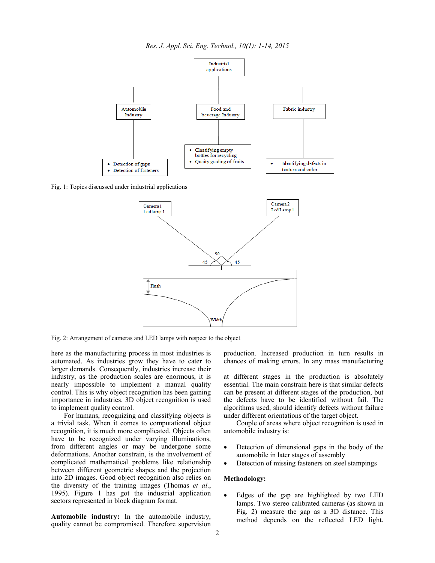*Res. J. Appl. Sci. Eng. Technol., 10(1): 1-14, 2015*



Fig. 1: Topics discussed under industrial applications



Fig. 2: Arrangement of cameras and LED lamps with respect to the object

here as the manufacturing process in most industries is automated. As industries grow they have to cater to larger demands. Consequently, industries increase their industry, as the production scales are enormous, it is nearly impossible to implement a manual quality control. This is why object recognition has been gaining importance in industries. 3D object recognition is used to implement quality control.

For humans, recognizing and classifying objects is a trivial task. When it comes to computational object recognition, it is much more complicated. Objects often have to be recognized under varying illuminations, from different angles or may be undergone some deformations. Another constrain, is the involvement of complicated mathematical problems like relationship between different geometric shapes and the projection into 2D images. Good object recognition also relies on the diversity of the training images (Thomas *et al*., 1995). Figure 1 has got the industrial application sectors represented in block diagram format.

**Automobile industry:** In the automobile industry, quality cannot be compromised. Therefore supervision production. Increased production in turn results in chances of making errors. In any mass manufacturing

at different stages in the production is absolutely essential. The main constrain here is that similar defects can be present at different stages of the production, but the defects have to be identified without fail. The algorithms used, should identify defects without failure under different orientations of the target object.

Couple of areas where object recognition is used in automobile industry is:

- Detection of dimensional gaps in the body of the automobile in later stages of assembly
- Detection of missing fasteners on steel stampings

#### **Methodology:**

Edges of the gap are highlighted by two LED lamps. Two stereo calibrated cameras (as shown in Fig. 2) measure the gap as a 3D distance. This method depends on the reflected LED light.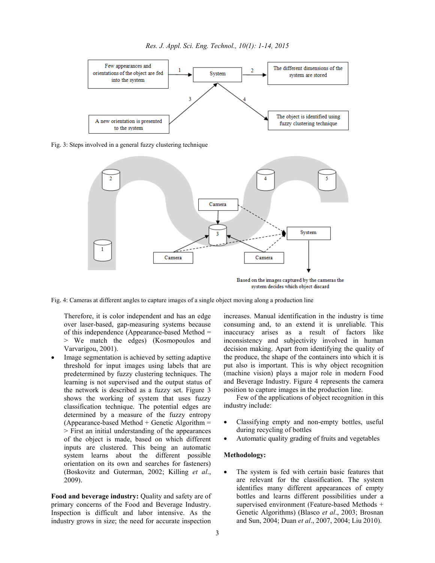

Fig. 3: Steps involved in a general fuzzy clustering technique



Based on the images captured by the cameras the system decides which object discard

Fig. 4: Cameras at different angles to capture images of a single object moving along a production line

Therefore, it is color independent and has an edge over laser-based, gap-measuring systems because of this independence (Appearance-based Method = > We match the edges) (Kosmopoulos and Varvarigou, 2001).

Image segmentation is achieved by setting adaptive threshold for input images using labels that are predetermined by fuzzy clustering techniques. The learning is not supervised and the output status of the network is described as a fuzzy set. Figure 3 shows the working of system that uses fuzzy classification technique. The potential edges are determined by a measure of the fuzzy entropy  $(A$ ppearance-based Method + Genetic Algorithm = > First an initial understanding of the appearances of the object is made, based on which different inputs are clustered. This being an automatic system learns about the different possible orientation on its own and searches for fasteners) (Boskovitz and Guterman, 2002; Killing *et al*., 2009).

**Food and beverage industry:** Quality and safety are of primary concerns of the Food and Beverage Industry. Inspection is difficult and labor intensive. As the industry grows in size; the need for accurate inspection

increases. Manual identification in the industry is time consuming and, to an extend it is unreliable. This inaccuracy arises as a result of factors like inconsistency and subjectivity involved in human decision making. Apart from identifying the quality of the produce, the shape of the containers into which it is put also is important. This is why object recognition (machine vision) plays a major role in modern Food and Beverage Industry. Figure 4 represents the camera position to capture images in the production line.

Few of the applications of object recognition in this industry include:

- Classifying empty and non-empty bottles, useful during recycling of bottles
- Automatic quality grading of fruits and vegetables

### **Methodology:**

The system is fed with certain basic features that are relevant for the classification. The system identifies many different appearances of empty bottles and learns different possibilities under a supervised environment (Feature-based Methods + Genetic Algorithms) (Blasco *et al*., 2003; Brosnan and Sun, 2004; Duan *et al*., 2007, 2004; Liu 2010).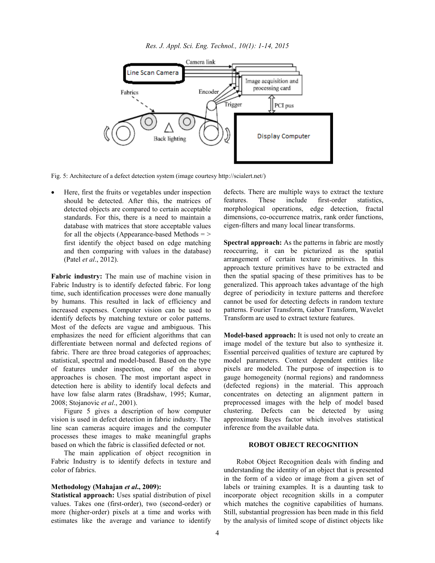*Res. J. Appl. Sci. Eng. Technol., 10(1): 1-14, 2015*



Fig. 5: Architecture of a defect detection system (image courtesy http://scialert.net/)

• Here, first the fruits or vegetables under inspection should be detected. After this, the matrices of detected objects are compared to certain acceptable standards. For this, there is a need to maintain a database with matrices that store acceptable values for all the objects (Appearance-based Methods  $=$  > first identify the object based on edge matching and then comparing with values in the database) (Patel *et al*., 2012).

**Fabric industry:** The main use of machine vision in Fabric Industry is to identify defected fabric. For long time, such identification processes were done manually by humans. This resulted in lack of efficiency and increased expenses. Computer vision can be used to identify defects by matching texture or color patterns. Most of the defects are vague and ambiguous. This emphasizes the need for efficient algorithms that can differentiate between normal and defected regions of fabric. There are three broad categories of approaches; statistical, spectral and model-based. Based on the type of features under inspection, one of the above approaches is chosen. The most important aspect in detection here is ability to identify local defects and have low false alarm rates (Bradshaw, 1995; Kumar, 2008; Stojanovic *et al*., 2001).

Figure 5 gives a description of how computer vision is used in defect detection in fabric industry. The line scan cameras acquire images and the computer processes these images to make meaningful graphs based on which the fabric is classified defected or not.

The main application of object recognition in Fabric Industry is to identify defects in texture and color of fabrics.

#### **Methodology (Mahajan** *et al***., 2009):**

**Statistical approach:** Uses spatial distribution of pixel values. Takes one (first-order), two (second-order) or more (higher-order) pixels at a time and works with estimates like the average and variance to identify defects. There are multiple ways to extract the texture features. These include first-order statistics, morphological operations, edge detection, fractal dimensions, co-occurrence matrix, rank order functions, eigen-filters and many local linear transforms.

**Spectral approach:** As the patterns in fabric are mostly reoccurring, it can be picturized as the spatial arrangement of certain texture primitives. In this approach texture primitives have to be extracted and then the spatial spacing of these primitives has to be generalized. This approach takes advantage of the high degree of periodicity in texture patterns and therefore cannot be used for detecting defects in random texture patterns. Fourier Transform, Gabor Transform, Wavelet Transform are used to extract texture features.

**Model-based approach:** It is used not only to create an image model of the texture but also to synthesize it. Essential perceived qualities of texture are captured by model parameters. Context dependent entities like pixels are modeled. The purpose of inspection is to gauge homogeneity (normal regions) and randomness (defected regions) in the material. This approach concentrates on detecting an alignment pattern in preprocessed images with the help of model based clustering. Defects can be detected by using approximate Bayes factor which involves statistical inference from the available data.

# **ROBOT OBJECT RECOGNITION**

Robot Object Recognition deals with finding and understanding the identity of an object that is presented in the form of a video or image from a given set of labels or training examples. It is a daunting task to incorporate object recognition skills in a computer which matches the cognitive capabilities of humans. Still, substantial progression has been made in this field by the analysis of limited scope of distinct objects like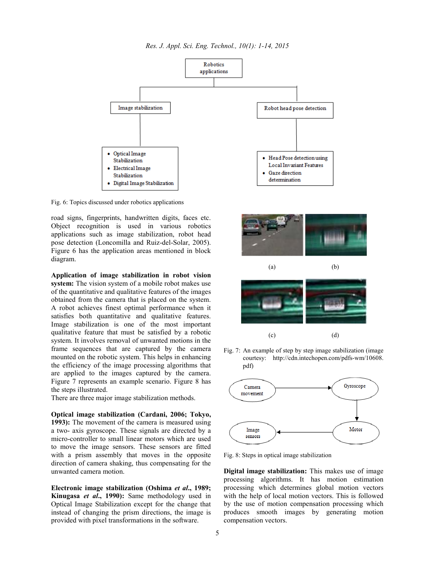

Fig. 6: Topics discussed under robotics applications

road signs, fingerprints, handwritten digits, faces etc. Object recognition is used in various robotics applications such as image stabilization, robot head pose detection (Loncomilla and Ruiz-del-Solar, 2005). Figure 6 has the application areas mentioned in block diagram.

**Application of image stabilization in robot vision system:** The vision system of a mobile robot makes use of the quantitative and qualitative features of the images obtained from the camera that is placed on the system. A robot achieves finest optimal performance when it satisfies both quantitative and qualitative features. Image stabilization is one of the most important qualitative feature that must be satisfied by a robotic system. It involves removal of unwanted motions in the frame sequences that are captured by the camera mounted on the robotic system. This helps in enhancing the efficiency of the image processing algorithms that are applied to the images captured by the camera. Figure 7 represents an example scenario. Figure 8 has the steps illustrated.

There are three major image stabilization methods.

**Optical image stabilization (Cardani, 2006; Tokyo, 1993):** The movement of the camera is measured using a two- axis gyroscope. These signals are directed by a micro-controller to small linear motors which are used to move the image sensors. These sensors are fitted with a prism assembly that moves in the opposite direction of camera shaking, thus compensating for the unwanted camera motion.

**Electronic image stabilization (Oshima** *et al***., 1989; Kinugasa** *et al***., 1990):** Same methodology used in Optical Image Stabilization except for the change that instead of changing the prism directions, the image is provided with pixel transformations in the software.





Fig. 7: An example of step by step image stabilization (image courtesy: http://cdn.intechopen.com/pdfs-wm/10608. pdf)



Fig. 8: Steps in optical image stabilization

**Digital image stabilization:** This makes use of image processing algorithms. It has motion estimation processing which determines global motion vectors with the help of local motion vectors. This is followed by the use of motion compensation processing which produces smooth images by generating motion compensation vectors.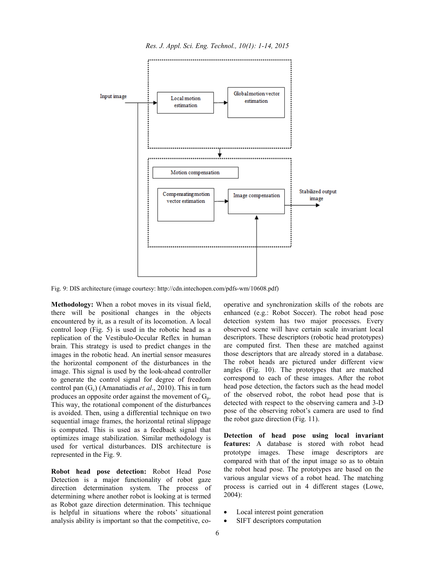

*Res. J. Appl. Sci. Eng. Technol., 10(1): 1-14, 2015*

Fig. 9: DIS architecture (image courtesy: http://cdn.intechopen.com/pdfs-wm/10608.pdf)

**Methodology:** When a robot moves in its visual field, there will be positional changes in the objects encountered by it, as a result of its locomotion. A local control loop (Fig. 5) is used in the robotic head as a replication of the Vestibulo-Occular Reflex in human brain. This strategy is used to predict changes in the images in the robotic head. An inertial sensor measures the horizontal component of the disturbances in the image. This signal is used by the look-ahead controller to generate the control signal for degree of freedom control pan  $(G_c)$  (Amanatiadis *et al.*, 2010). This in turn produces an opposite order against the movement of  $G_p$ . This way, the rotational component of the disturbances is avoided. Then, using a differential technique on two sequential image frames, the horizontal retinal slippage is computed. This is used as a feedback signal that optimizes image stabilization. Similar methodology is used for vertical disturbances. DIS architecture is represented in the Fig. 9.

**Robot head pose detection:** Robot Head Pose Detection is a major functionality of robot gaze direction determination system. The process of determining where another robot is looking at is termed as Robot gaze direction determination. This technique is helpful in situations where the robots' situational analysis ability is important so that the competitive, cooperative and synchronization skills of the robots are enhanced (e.g.: Robot Soccer). The robot head pose detection system has two major processes. Every observed scene will have certain scale invariant local descriptors. These descriptors (robotic head prototypes) are computed first. Then these are matched against those descriptors that are already stored in a database. The robot heads are pictured under different view angles (Fig. 10). The prototypes that are matched correspond to each of these images. After the robot head pose detection, the factors such as the head model of the observed robot, the robot head pose that is detected with respect to the observing camera and 3-D pose of the observing robot's camera are used to find the robot gaze direction (Fig. 11).

**Detection of head pose using local invariant features:** A database is stored with robot head prototype images. These image descriptors are compared with that of the input image so as to obtain the robot head pose. The prototypes are based on the various angular views of a robot head. The matching process is carried out in 4 different stages (Lowe, 2004):

- Local interest point generation
- SIFT descriptors computation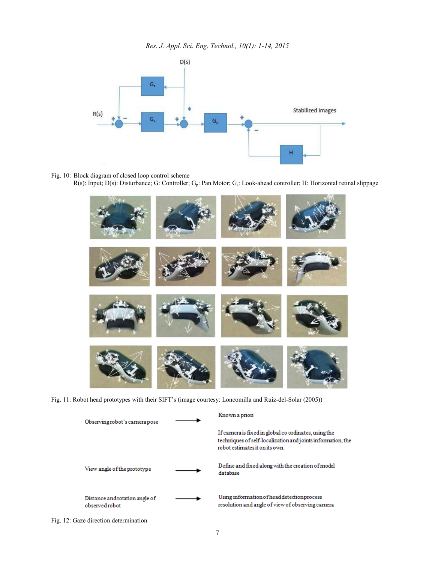*Res. J. Appl. Sci. Eng. Technol., 10(1): 1-14, 2015*



Fig. 10: Block diagram of closed loop control scheme

R(s): Input; D(s): Disturbance; G: Controller; G<sub>p</sub>: Pan Motor; G<sub>s</sub>: Look-ahead controller; H: Horizontal retinal slippage



Fig. 11: Robot head prototypes with their SIFT's (image courtesy: Loncomilla and Ruiz-del-Solar (2005))

| Observing robot's camera pose                    | Known a priori                                                                                                                                        |
|--------------------------------------------------|-------------------------------------------------------------------------------------------------------------------------------------------------------|
|                                                  | If camera is fixed in global co ordinates, using the<br>techniques of self-localization and joints information, the<br>robot estimates it on its own. |
| View angle of the prototype                      | Define and fixed along with the creation of model<br>database                                                                                         |
| Distance and rotation angle of<br>observed robot | Using information of head detection process<br>resolution and angle of view of observing camera                                                       |

Fig. 12: Gaze direction determination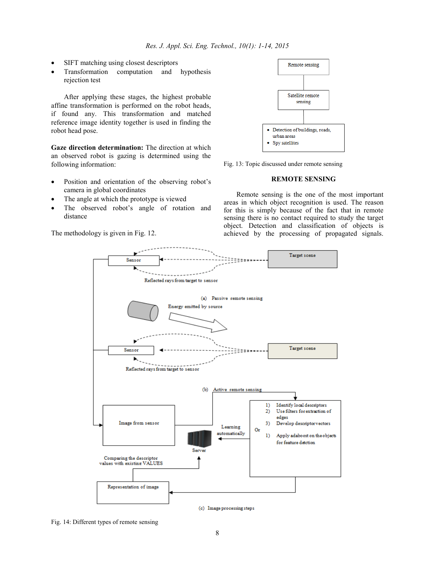- SIFT matching using closest descriptors
- Transformation computation and hypothesis rejection test

After applying these stages, the highest probable affine transformation is performed on the robot heads, if found any. This transformation and matched reference image identity together is used in finding the robot head pose.

**Gaze direction determination:** The direction at which an observed robot is gazing is determined using the following information:

- Position and orientation of the observing robot's camera in global coordinates
- The angle at which the prototype is viewed
- The observed robot's angle of rotation and distance

The methodology is given in Fig. 12.



Fig. 13: Topic discussed under remote sensing

# **REMOTE SENSING**

Remote sensing is the one of the most important areas in which object recognition is used. The reason for this is simply because of the fact that in remote sensing there is no contact required to study the target object. Detection and classification of objects is achieved by the processing of propagated signals.



Fig. 14: Different types of remote sensing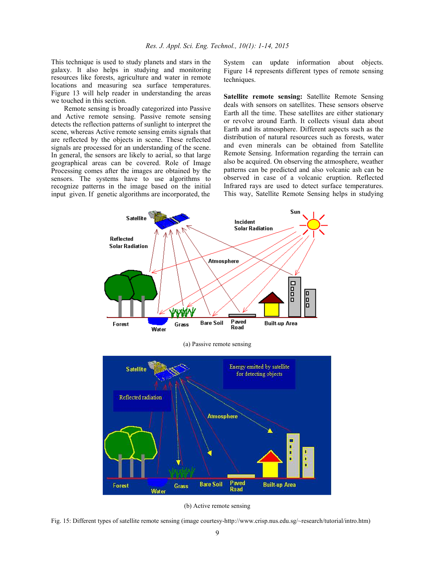This technique is used to study planets and stars in the galaxy. It also helps in studying and monitoring resources like forests, agriculture and water in remote locations and measuring sea surface temperatures. Figure 13 will help reader in understanding the areas we touched in this section.

Remote sensing is broadly categorized into Passive and Active remote sensing. Passive remote sensing detects the reflection patterns of sunlight to interpret the scene, whereas Active remote sensing emits signals that are reflected by the objects in scene. These reflected signals are processed for an understanding of the scene. In general, the sensors are likely to aerial, so that large geographical areas can be covered. Role of Image Processing comes after the images are obtained by the sensors. The systems have to use algorithms to recognize patterns in the image based on the initial input given. If genetic algorithms are incorporated, the

System can update information about objects. Figure 14 represents different types of remote sensing techniques.

**Satellite remote sensing:** Satellite Remote Sensing deals with sensors on satellites. These sensors observe Earth all the time. These satellites are either stationary or revolve around Earth. It collects visual data about Earth and its atmosphere. Different aspects such as the distribution of natural resources such as forests, water and even minerals can be obtained from Satellite Remote Sensing. Information regarding the terrain can also be acquired. On observing the atmosphere, weather patterns can be predicted and also volcanic ash can be observed in case of a volcanic eruption. Reflected Infrared rays are used to detect surface temperatures. This way, Satellite Remote Sensing helps in studying



(a) Passive remote sensing



(b) Active remote sensing

Fig. 15: Different types of satellite remote sensing (image courtesy-http://www.crisp.nus.edu.sg/~research/tutorial/intro.htm)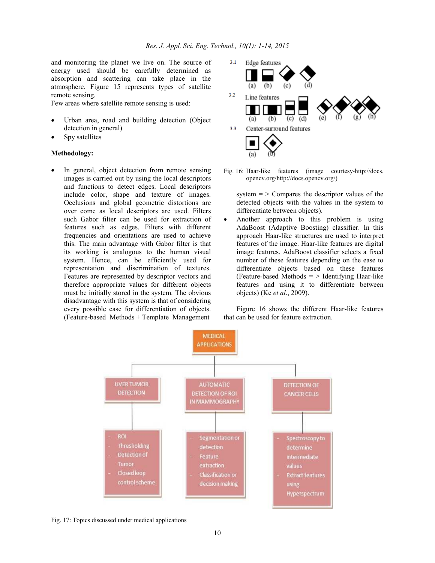and monitoring the planet we live on. The source of energy used should be carefully determined as absorption and scattering can take place in the atmosphere. Figure 15 represents types of satellite remote sensing.

Few areas where satellite remote sensing is used:

- Urban area, road and building detection (Object) detection in general)
- Spy satellites

## **Methodology:**

In general, object detection from remote sensing images is carried out by using the local descriptors and functions to detect edges. Local descriptors include color, shape and texture of images. Occlusions and global geometric distortions are over come as local descriptors are used. Filters such Gabor filter can be used for extraction of features such as edges. Filters with different frequencies and orientations are used to achieve this. The main advantage with Gabor filter is that its working is analogous to the human visual system. Hence, can be efficiently used for representation and discrimination of textures. Features are represented by descriptor vectors and therefore appropriate values for different objects must be initially stored in the system. The obvious disadvantage with this system is that of considering every possible case for differentiation of objects. (Feature-based Methods + Template Management



Fig. 16: Haar-like features (image courtesy-http://docs. opencv.org/http://docs.opencv.org/)

system  $=$  > Compares the descriptor values of the detected objects with the values in the system to differentiate between objects).

• Another approach to this problem is using AdaBoost (Adaptive Boosting) classifier. In this approach Haar-like structures are used to interpret features of the image. Haar-like features are digital image features. AdaBoost classifier selects a fixed number of these features depending on the ease to differentiate objects based on these features (Feature-based Methods  $=$  > Identifying Haar-like features and using it to differentiate between objects) (Ke *et al*., 2009).

Figure 16 shows the different Haar-like features that can be used for feature extraction.



Fig. 17: Topics discussed under medical applications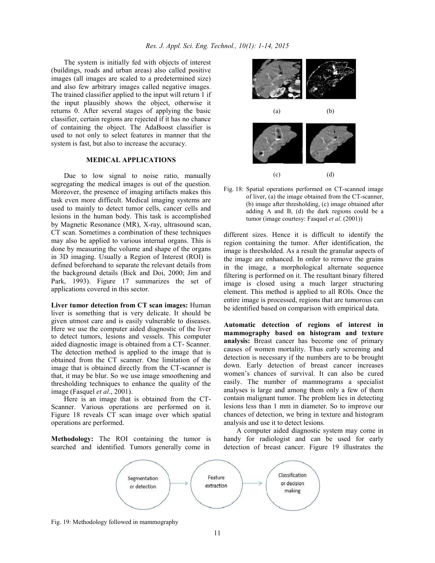The system is initially fed with objects of interest (buildings, roads and urban areas) also called positive images (all images are scaled to a predetermined size) and also few arbitrary images called negative images. The trained classifier applied to the input will return 1 if the input plausibly shows the object, otherwise it returns 0. After several stages of applying the basic classifier, certain regions are rejected if it has no chance of containing the object. The AdaBoost classifier is used to not only to select features in manner that the system is fast, but also to increase the accuracy.

# **MEDICAL APPLICATIONS**

Due to low signal to noise ratio, manually segregating the medical images is out of the question. Moreover, the presence of imaging artifacts makes this task even more difficult. Medical imaging systems are used to mainly to detect tumor cells, cancer cells and lesions in the human body. This task is accomplished by Magnetic Resonance (MR), X-ray, ultrasound scan, CT scan. Sometimes a combination of these techniques may also be applied to various internal organs. This is done by measuring the volume and shape of the organs in 3D imaging. Usually a Region of Interest (ROI) is defined beforehand to separate the relevant details from the background details (Bick and Doi, 2000; Jim and Park, 1993). Figure 17 summarizes the set of applications covered in this sector.

**Liver tumor detection from CT scan images:** Human liver is something that is very delicate. It should be given utmost care and is easily vulnerable to diseases. Here we use the computer aided diagnostic of the liver to detect tumors, lesions and vessels. This computer aided diagnostic image is obtained from a CT- Scanner. The detection method is applied to the image that is obtained from the CT scanner. One limitation of the image that is obtained directly from the CT-scanner is that, it may be blur. So we use image smoothening and thresholding techniques to enhance the quality of the image (Fasquel *et al*., 2001).

Here is an image that is obtained from the CT-Scanner. Various operations are performed on it. Figure 18 reveals CT scan image over which spatial operations are performed.

**Methodology:** The ROI containing the tumor is searched and identified. Tumors generally come in



Fig. 18: Spatial operations performed on CT-scanned image of liver, (a) the image obtained from the CT-scanner, (b) image after thresholding, (c) image obtained after adding A and B, (d) the dark regions could be a tumor (image courtesy: Fasquel *et al*. (2001))

different sizes. Hence it is difficult to identify the region containing the tumor. After identification, the image is thresholded. As a result the granular aspects of the image are enhanced. In order to remove the grains in the image, a morphological alternate sequence filtering is performed on it. The resultant binary filtered image is closed using a much larger structuring element. This method is applied to all ROIs. Once the entire image is processed, regions that are tumorous can be identified based on comparison with empirical data.

**Automatic detection of regions of interest in mammography based on histogram and texture analysis:** Breast cancer has become one of primary causes of women mortality. Thus early screening and detection is necessary if the numbers are to be brought down. Early detection of breast cancer increases women's chances of survival. It can also be cured easily. The number of mammograms a specialist analyses is large and among them only a few of them contain malignant tumor. The problem lies in detecting lesions less than 1 mm in diameter. So to improve our chances of detection, we bring in texture and histogram analysis and use it to detect lesions.

A computer aided diagnostic system may come in handy for radiologist and can be used for early detection of breast cancer. Figure 19 illustrates the



Fig. 19: Methodology followed in mammography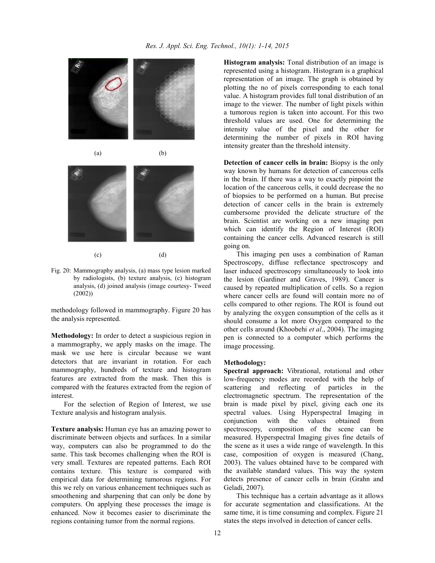

Fig. 20: Mammography analysis, (a) mass type lesion marked by radiologists, (b) texture analysis, (c) histogram analysis, (d) joined analysis (image courtesy- Tweed (2002))

methodology followed in mammography. Figure 20 has the analysis represented.

**Methodology:** In order to detect a suspicious region in a mammography, we apply masks on the image. The mask we use here is circular because we want detectors that are invariant in rotation. For each mammography, hundreds of texture and histogram features are extracted from the mask. Then this is compared with the features extracted from the region of interest.

For the selection of Region of Interest, we use Texture analysis and histogram analysis.

**Texture analysis:** Human eye has an amazing power to discriminate between objects and surfaces. In a similar way, computers can also be programmed to do the same. This task becomes challenging when the ROI is very small. Textures are repeated patterns. Each ROI contains texture. This texture is compared with empirical data for determining tumorous regions. For this we rely on various enhancement techniques such as smoothening and sharpening that can only be done by computers. On applying these processes the image is enhanced. Now it becomes easier to discriminate the regions containing tumor from the normal regions.

**Histogram analysis:** Tonal distribution of an image is represented using a histogram. Histogram is a graphical representation of an image. The graph is obtained by plotting the no of pixels corresponding to each tonal value. A histogram provides full tonal distribution of an image to the viewer. The number of light pixels within a tumorous region is taken into account. For this two threshold values are used. One for determining the intensity value of the pixel and the other for determining the number of pixels in ROI having intensity greater than the threshold intensity.

**Detection of cancer cells in brain:** Biopsy is the only way known by humans for detection of cancerous cells in the brain. If there was a way to exactly pinpoint the location of the cancerous cells, it could decrease the no of biopsies to be performed on a human. But precise detection of cancer cells in the brain is extremely cumbersome provided the delicate structure of the brain. Scientist are working on a new imaging pen which can identify the Region of Interest (ROI) containing the cancer cells. Advanced research is still going on.

This imaging pen uses a combination of Raman Spectroscopy, diffuse reflectance spectroscopy and laser induced spectroscopy simultaneously to look into the lesion (Gardiner and Graves, 1989). Cancer is caused by repeated multiplication of cells. So a region where cancer cells are found will contain more no of cells compared to other regions. The ROI is found out by analyzing the oxygen consumption of the cells as it should consume a lot more Oxygen compared to the other cells around (Khoobehi *et al*., 2004). The imaging pen is connected to a computer which performs the image processing.

# **Methodology:**

**Spectral approach:** Vibrational, rotational and other low-frequency modes are recorded with the help of scattering and reflecting of particles in the electromagnetic spectrum. The representation of the brain is made pixel by pixel, giving each one its spectral values. Using Hyperspectral Imaging in conjunction with the values obtained from spectroscopy, composition of the scene can be measured. Hyperspectral Imaging gives fine details of the scene as it uses a wide range of wavelength. In this case, composition of oxygen is measured (Chang, 2003). The values obtained have to be compared with the available standard values. This way the system detects presence of cancer cells in brain (Grahn and Geladi, 2007).

This technique has a certain advantage as it allows for accurate segmentation and classifications. At the same time, it is time consuming and complex. Figure 21 states the steps involved in detection of cancer cells.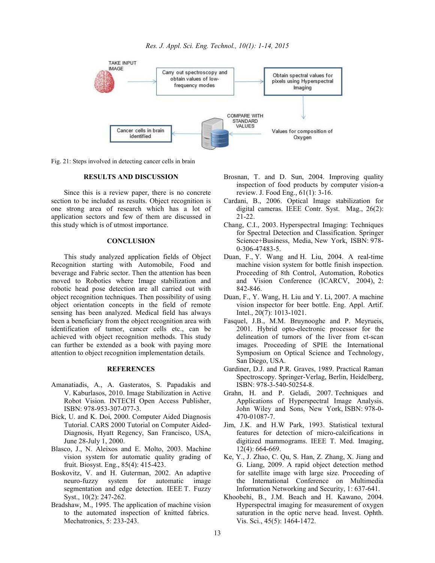

Fig. 21: Steps involved in detecting cancer cells in brain

# **RESULTS AND DISCUSSION**

Since this is a review paper, there is no concrete section to be included as results. Object recognition is one strong area of research which has a lot of application sectors and few of them are discussed in this study which is of utmost importance.

#### **CONCLUSION**

This study analyzed application fields of Object Recognition starting with Automobile, Food and beverage and Fabric sector. Then the attention has been moved to Robotics where Image stabilization and robotic head pose detection are all carried out with object recognition techniques. Then possibility of using object orientation concepts in the field of remote sensing has been analyzed. Medical field has always been a beneficiary from the object recognition area with identification of tumor, cancer cells etc., can be achieved with object recognition methods. This study can further be extended as a book with paying more attention to object recognition implementation details.

#### **REFERENCES**

- Amanatiadis, A., A. Gasteratos, S. Papadakis and V. Kaburlasos, 2010. Image Stabilization in Active Robot Vision. INTECH Open Access Publisher, ISBN: 978-953-307-077-3.
- Bick, U. and K. Doi, 2000. Computer Aided Diagnosis Tutorial. CARS 2000 Tutorial on Computer Aided-Diagnosis, Hyatt Regency, San Francisco, USA, June 28-July 1, 2000.
- Blasco, J., N. Aleixos and E. Molto, 2003. Machine vision system for automatic quality grading of fruit. Biosyst. Eng., 85(4): 415-423.
- Boskovitz, V. and H. Guterman, 2002. An adaptive neuro-fuzzy system for automatic image segmentation and edge detection. IEEE T. Fuzzy Syst., 10(2): 247-262.
- Bradshaw, M., 1995. The application of machine vision to the automated inspection of knitted fabrics. Mechatronics, 5: 233-243.
- Brosnan, T. and D. Sun, 2004. Improving quality inspection of food products by computer vision-a review. J. Food Eng., 61(1): 3-16.
- Cardani, B., 2006. Optical Image stabilization for digital cameras. IEEE Contr. Syst. Mag., 26(2): 21-22.
- Chang, C.I., 2003. Hyperspectral Imaging: Techniques for Spectral Detection and Classification. Springer Science+Business, Media, New York, ISBN: 978- 0-306-47483-5.
- Duan, F., Y. Wang and H. Liu, 2004. A real-time machine vision system for bottle finish inspection. Proceeding of 8th Control, Automation, Robotics and Vision Conference (ICARCV, 2004), 2: 842-846.
- Duan, F., Y. Wang, H. Liu and Y. Li, 2007. A machine vision inspector for beer bottle. Eng. Appl. Artif. Intel., 20(7): 1013-1021.
- Fasquel, J.B., M.M. Bruynooghe and P. Meyrueis, 2001. Hybrid opto-electronic processor for the delineation of tumors of the liver from ct-scan images. Proceeding of SPIE the International Symposium on Optical Science and Technology, San Diego, USA.
- Gardiner, D.J. and P.R. Graves, 1989. Practical Raman Spectroscopy. Springer-Verlag, Berlin, Heidelberg, ISBN: 978-3-540-50254-8.
- Grahn, H. and P. Geladi, 2007. Techniques and Applications of Hyperspectral Image Analysis. John Wiley and Sons, New York, ISBN: 978-0- 470-01087-7.
- Jim, J.K. and H.W Park, 1993. Statistical textural features for detection of micro-calcifications in digitized mammograms. IEEE T. Med. Imaging, 12(4): 664-669.
- Ke, Y., J. Zhao, C. Qu, S. Han, Z. Zhang, X. Jiang and G. Liang, 2009. A rapid object detection method for satellite image with large size. Proceeding of the International Conference on Multimedia Information Networking and Security, 1: 637-641.
- Khoobehi, B., J.M. Beach and H. Kawano, 2004. Hyperspectral imaging for measurement of oxygen saturation in the optic nerve head. Invest. Ophth. Vis. Sci., 45(5): 1464-1472.